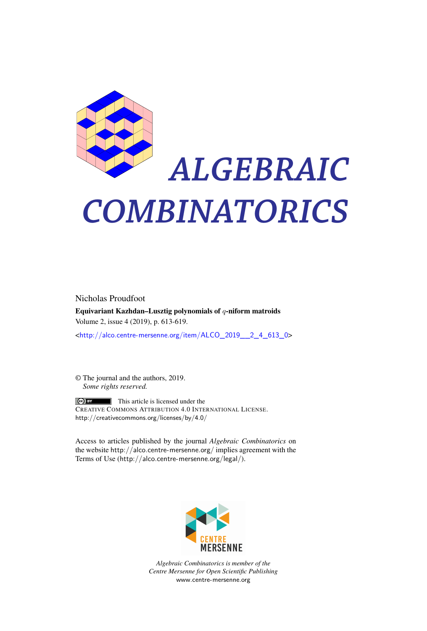

# *ALGEBRAIC COMBINATORICS*

Nicholas Proudfoot Equivariant Kazhdan–Lusztig polynomials of *q*-niform matroids Volume 2, issue 4 (2019), p. 613-619.

<[http://alco.centre-mersenne.org/item/ALCO\\_2019\\_\\_2\\_4\\_613\\_0](http://alco.centre-mersenne.org/item/ALCO_2019__2_4_613_0)>

© The journal and the authors, 2019. *Some rights reserved.*

**C** EX This article is licensed under the CREATIVE COMMONS ATTRIBUTION 4.0 INTERNATIONAL LICENSE. <http://creativecommons.org/licenses/by/4.0/>

Access to articles published by the journal *Algebraic Combinatorics* on the website <http://alco.centre-mersenne.org/> implies agreement with the Terms of Use (<http://alco.centre-mersenne.org/legal/>).



*Algebraic Combinatorics is member of the Centre Mersenne for Open Scientific Publishing* <www.centre-mersenne.org>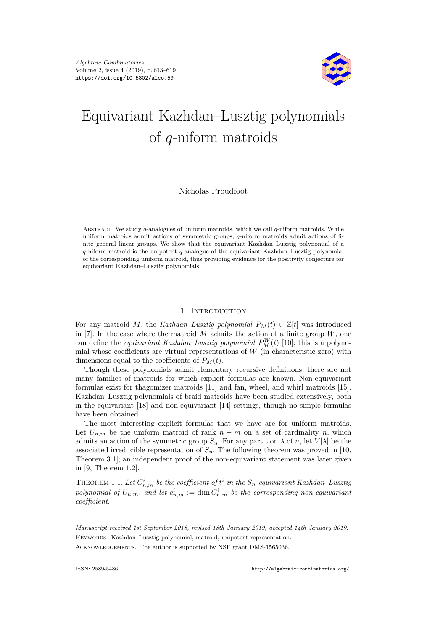

## Equivariant Kazhdan–Lusztig polynomials of *q*-niform matroids

#### Nicholas Proudfoot

Abstract We study *q*-analogues of uniform matroids, which we call *q*-niform matroids. While uniform matroids admit actions of symmetric groups, *q*-niform matroids admit actions of finite general linear groups. We show that the equivariant Kazhdan–Lusztig polynomial of a *q*-niform matroid is the unipotent *q*-analogue of the equivariant Kazhdan–Lusztig polynomial of the corresponding uniform matroid, thus providing evidence for the positivity conjecture for equivariant Kazhdan–Lusztig polynomials.

#### 1. INTRODUCTION

For any matroid *M*, the *Kazhdan–Lusztig polynomial*  $P_M(t) \in \mathbb{Z}[t]$  was introduced in [\[7\]](#page-7-0). In the case where the matroid  $M$  admits the action of a finite group  $W$ , one can define the *equivariant Kazhdan–Lusztig polynomial*  $P_M^W(t)$  [\[10\]](#page-7-1); this is a polynomial whose coefficients are virtual representations of *W* (in characteristic zero) with dimensions equal to the coefficients of  $P<sub>M</sub>(t)$ .

Though these polynomials admit elementary recursive definitions, there are not many families of matroids for which explicit formulas are known. Non-equivariant formulas exist for thagomizer matroids [\[11\]](#page-7-2) and fan, wheel, and whirl matroids [\[15\]](#page-7-3). Kazhdan–Lusztig polynomials of braid matroids have been studied extensively, both in the equivariant [\[18\]](#page-7-4) and non-equivariant [\[14\]](#page-7-5) settings, though no simple formulas have been obtained.

The most interesting explicit formulas that we have are for uniform matroids. Let  $U_{n,m}$  be the uniform matroid of rank  $n-m$  on a set of cardinality  $n$ , which admits an action of the symmetric group  $S_n$ . For any partition  $\lambda$  of *n*, let  $V[\lambda]$  be the associated irreducible representation of  $S_n$ . The following theorem was proved in [\[10,](#page-7-1) Theorem 3.1]; an independent proof of the non-equivariant statement was later given in [\[9,](#page-7-6) Theorem 1.2].

<span id="page-1-0"></span>THEOREM 1.1. Let  $C_{n,m}^i$  be the coefficient of  $t^i$  in the  $S_n$ -equivariant Kazhdan–Lusztig *polynomial of*  $U_{n,m}$ *, and let*  $c^i_{n,m} := \dim C^i_{n,m}$  *be the corresponding non-equivariant coefficient.*

*Manuscript received 1st September 2018, revised 18th January 2019, accepted 14th January 2019.* KEYWORDS. Kazhdan–Lusztig polynomial, matroid, unipotent representation. ACKNOWLEDGEMENTS. The author is supported by NSF grant DMS-1565036.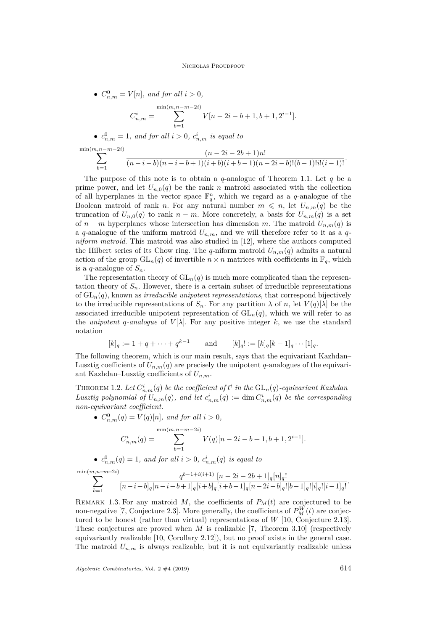• 
$$
C_{n,m}^0 = V[n]
$$
, and for all  $i > 0$ ,

min(*m,n*

$$
C_{n,m}^i = \sum_{b=1}^{\min(m,n-m-2i)} V[n-2i-b+1,b+1,2^{i-1}].
$$

•  $c_{n,m}^0 = 1$ , and for all  $i > 0$ ,  $c_{n,m}^i$  is equal to

$$
\sum_{b=1}^{\ln(m,n-m-2i)} \frac{(n-2i-2b+1)n!}{(n-i-b)(n-i-b+1)(i+b)(i+b-1)(n-2i-b)!(b-1)!i!(i-1)!}.
$$

The purpose of this note is to obtain a *q*-analogue of Theorem [1.1.](#page-1-0) Let *q* be a prime power, and let  $U_{n,0}(q)$  be the rank *n* matroid associated with the collection of all hyperplanes in the vector space  $\mathbb{F}_q^n$ , which we regard as a *q*-analogue of the Boolean matroid of rank *n*. For any natural number  $m \leq n$ , let  $U_{n,m}(q)$  be the truncation of  $U_{n,0}(q)$  to rank  $n - m$ . More concretely, a basis for  $U_{n,m}(q)$  is a set of  $n - m$  hyperplanes whose intersection has dimension *m*. The matroid  $U_{n,m}(q)$  is a *q*-analogue of the uniform matroid  $U_{n,m}$ , and we will therefore refer to it as a *qniform matroid*. This matroid was also studied in [\[12\]](#page-7-7), where the authors computed the Hilbert series of its Chow ring. The *q*-niform matroid  $U_{n,m}(q)$  admits a natural action of the group  $GL_n(q)$  of invertible  $n \times n$  matrices with coefficients in  $\mathbb{F}_q$ , which is a *q*-analogue of  $S_n$ .

The representation theory of  $GL_n(q)$  is much more complicated than the representation theory of  $S_n$ . However, there is a certain subset of irreducible representations of GL*n*(*q*), known as *irreducible unipotent representations*, that correspond bijectively to the irreducible representations of  $S_n$ . For any partition  $\lambda$  of *n*, let  $V(q)[\lambda]$  be the associated irreducible unipotent representation of  $GL_n(q)$ , which we will refer to as the *unipotent q*-analogue of  $V[\lambda]$ . For any positive integer k, we use the standard notation

$$
[k]_q := 1 + q + \dots + q^{k-1}
$$
 and  $[k]_q! := [k]_q[k-1]_q \dots [1]_q.$ 

The following theorem, which is our main result, says that the equivariant Kazhdan– Lusztig coefficients of  $U_{n,m}(q)$  are precisely the unipotent *q*-analogues of the equivariant Kazhdan–Lusztig coefficients of *Un,m*.

<span id="page-2-0"></span>THEOREM 1.2. Let  $C_{n,m}^i(q)$  be the coefficient of  $t^i$  in the  $\mathrm{GL}_n(q)$ -equivariant Kazhdan– *Lusztig polynomial of*  $U_{n,m}(q)$ *, and let*  $c^i_{n,m}(q) := \dim C^i_{n,m}(q)$  *be the corresponding non-equivariant coefficient.*

•  $C_{n,m}^{0}(q) = V(q)[n]$ *, and for all i* > 0*,* 

$$
C_{n,m}^i(q) = \sum_{b=1}^{\min(m,n-m-2i)} V(q)[n-2i-b+1,b+1,2^{i-1}].
$$

•  $c_{n,m}^0(q) = 1$ *, and for all*  $i > 0$ *,*  $c_{n,m}^i(q)$  *is equal to* 

$$
\sum_{b=1}^{\min(m,n-m-2i)} \frac{q^{b-1+i(i+1)} [n-2i-2b+1]_q [n]_q!}{[n-i-b]_q [n-i-b+1]_q [i+b]_q [i+b-1]_q [n-2i-b]_q![b-1]_q![i]_q![i-1]_q!}.
$$

REMARK 1.3. For any matroid  $M$ , the coefficients of  $P_M(t)$  are conjectured to be non-negative [\[7,](#page-7-0) Conjecture 2.3]. More generally, the coefficients of  $P_M^W(t)$  are conjectured to be honest (rather than virtual) representations of *W* [\[10,](#page-7-1) Conjecture 2.13]. These conjectures are proved when *M* is realizable [\[7,](#page-7-0) Theorem 3.10] (respectively equivariantly realizable [\[10,](#page-7-1) Corollary 2.12]), but no proof exists in the general case. The matroid  $U_{n,m}$  is always realizable, but it is not equivariantly realizable unless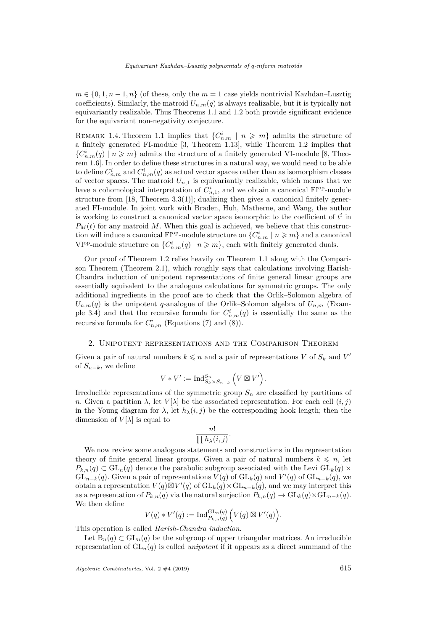$m \in \{0, 1, n-1, n\}$  (of these, only the  $m = 1$  case yields nontrivial Kazhdan–Lusztig coefficients). Similarly, the matroid  $U_{n,m}(q)$  is always realizable, but it is typically not equivariantly realizable. Thus Theorems [1.1](#page-1-0) and [1.2](#page-2-0) both provide significant evidence for the equivariant non-negativity conjecture.

REMARK 1.4. Theorem [1.1](#page-1-0) implies that  ${C_{n,m}^i \mid n \geqslant m}$  admits the structure of a finitely generated FI-module [\[3,](#page-7-8) Theorem 1.13], while Theorem [1.2](#page-2-0) implies that  ${C}^i_{n,m}(q)$  |  $n \geq m$ } admits the structure of a finitely generated VI-module [\[8,](#page-7-9) Theorem 1.6]. In order to define these structures in a natural way, we would need to be able to define  $C_{n,m}^i$  and  $C_{n,m}^i(q)$  as actual vector spaces rather than as isomorphism classes of vector spaces. The matroid  $U_{n,1}$  is equivariantly realizable, which means that we have a cohomological interpretation of  $C_{n,1}^i$ , and we obtain a canonical FI<sup>op</sup>-module structure from  $[18,$  Theorem  $3.3(1)$ ; dualizing then gives a canonical finitely generated FI-module. In joint work with Braden, Huh, Matherne, and Wang, the author is working to construct a canonical vector space isomorphic to the coefficient of  $t^i$  in  $P_M(t)$  for any matroid M. When this goal is achieved, we believe that this construction will induce a canonical FI<sup>op</sup>-module structure on  ${C_{n,m}^i \mid n \geqslant m}$  and a canonical VI<sup>op</sup>-module structure on  $\{C_{n,m}^i(q) | n \geqslant m\}$ , each with finitely generated duals.

Our proof of Theorem [1.2](#page-2-0) relies heavily on Theorem [1.1](#page-1-0) along with the Comparison Theorem (Theorem [2.1\)](#page-4-0), which roughly says that calculations involving Harish-Chandra induction of unipotent representations of finite general linear groups are essentially equivalent to the analogous calculations for symmetric groups. The only additional ingredients in the proof are to check that the Orlik–Solomon algebra of  $U_{n,m}(q)$  is the unipotent *q*-analogue of the Orlik–Solomon algebra of  $U_{n,m}$  (Exam-ple [3.4\)](#page-5-0) and that the recursive formula for  $C_{n,m}^i(q)$  is essentially the same as the recursive formula for  $C_{n,m}^i$  (Equations [\(7\)](#page-6-0) and [\(8\)](#page-6-1)).

### 2. Unipotent representations and the Comparison Theorem

Given a pair of natural numbers  $k \leq n$  and a pair of representations V of  $S_k$  and V' of  $S_{n-k}$ , we define

$$
V * V' := Ind_{S_k \times S_{n-k}}^{S_n} (V \boxtimes V').
$$

Irreducible representations of the symmetric group  $S_n$  are classified by partitions of *n*. Given a partition  $\lambda$ , let  $V[\lambda]$  be the associated representation. For each cell  $(i, j)$ in the Young diagram for  $\lambda$ , let  $h_{\lambda}(i, j)$  be the corresponding hook length; then the dimension of  $V[\lambda]$  is equal to

$$
\frac{n!}{\prod h_{\lambda}(i,j)}
$$

*.*

We now review some analogous statements and constructions in the representation theory of finite general linear groups. Given a pair of natural numbers  $k \leq n$ , let  $P_{k,n}(q) \subset GL_n(q)$  denote the parabolic subgroup associated with the Levi  $GL_k(q)$  ×  $GL_{n-k}(q)$ . Given a pair of representations  $V(q)$  of  $GL_k(q)$  and  $V'(q)$  of  $GL_{n-k}(q)$ , we obtain a representation  $V(q) \boxtimes V'(q)$  of  $GL_k(q) \times GL_{n-k}(q)$ , and we may interpret this as a representation of  $P_{k,n}(q)$  via the natural surjection  $P_{k,n}(q) \to \text{GL}_k(q) \times \text{GL}_{n-k}(q)$ . We then define

$$
V(q) * V'(q) := \mathrm{Ind}_{P_{k,n}(q)}^{\mathrm{GL}_n(q)} \Big( V(q) \boxtimes V'(q) \Big).
$$

This operation is called *Harish-Chandra induction*.

Let  $B_n(q) \subset GL_n(q)$  be the subgroup of upper triangular matrices. An irreducible representation of  $GL_n(q)$  is called *unipotent* if it appears as a direct summand of the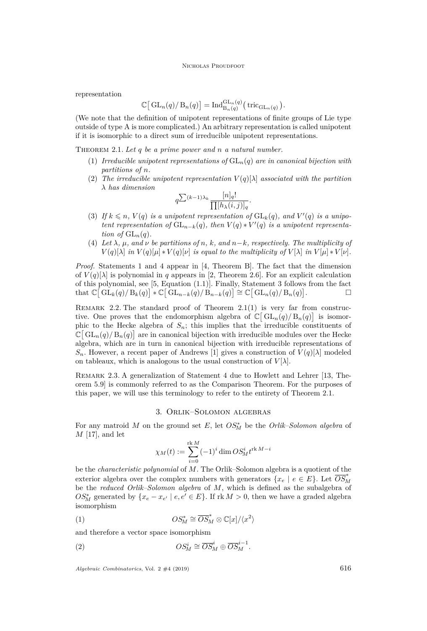#### NICHOLAS PROUDFOOT

representation

$$
\mathbb{C}\big[\operatorname{GL}_n(q)/\operatorname{B}_n(q)\big]=\operatorname{Ind}_{\operatorname{B}_n(q)}^{\operatorname{GL}_n(q)}(\operatorname{tric}_{\operatorname{GL}_n(q)}).
$$

(We note that the definition of unipotent representations of finite groups of Lie type outside of type A is more complicated.) An arbitrary representation is called unipotent if it is isomorphic to a direct sum of irreducible unipotent representations.

<span id="page-4-1"></span><span id="page-4-0"></span>THEOREM 2.1. Let q be a prime power and n a natural number.

- (1) *Irreducible unipotent representations of* GL*n*(*q*) *are in canonical bijection with partitions of n.*
- <span id="page-4-6"></span>(2) The irreducible unipotent representation  $V(q)[\lambda]$  associated with the partition *λ has dimension*

$$
q^{\sum (k-1)\lambda_k} \frac{[n]_q!}{\prod [h_\lambda(i,j)]_q}.
$$

- <span id="page-4-3"></span>(3) If  $k \le n$ ,  $V(q)$  is a unipotent representation of  $GL_k(q)$ , and  $V'(q)$  is a unipo*tent representation of*  $GL_{n-k}(q)$ *, then*  $V(q) * V'(q)$  *is a unipotent representation of*  $GL_n(q)$ *.*
- <span id="page-4-2"></span>(4) Let  $\lambda$ ,  $\mu$ , and  $\nu$  be partitions of n, k, and  $n-k$ , respectively. The multiplicity of  $V(q)[\lambda]$  *in*  $V(q)[\mu] * V(q)[\nu]$  *is equal to the multiplicity of*  $V[\lambda]$  *in*  $V[\mu] * V[\nu]$ *.*

*Proof.* Statements [1](#page-4-1) and [4](#page-4-2) appear in [\[4,](#page-7-10) Theorem B]. The fact that the dimension of  $V(q)[\lambda]$  is polynomial in q appears in [\[2,](#page-7-11) Theorem 2.6]. For an explicit calculation of this polynomial, see [\[5,](#page-7-12) Equation (1.1)]. Finally, Statement [3](#page-4-3) follows from the fact  $\text{that } \mathbb{C} \left[ \left. \mathrm{GL}_k(q) \right/ \mathrm{B}_k(q) \right] * \mathbb{C} \left[ \left. \mathrm{GL}_{n-k}(q) \right/ \mathrm{B}_{n-k}(q) \right] \cong \mathbb{C} \left[ \left. \mathrm{GL}_n(q) \right/ \mathrm{B}_n(q) \right]$ . — П

REMARK 2.2. The standard proof of Theorem  $2.1(1)$  $2.1(1)$  is very far from constructive. One proves that the endomorphism algebra of  $\mathbb{C}[\mathrm{GL}_n(q)/\mathrm{B}_n(q)]$  is isomorphic to the Hecke algebra of  $S_n$ ; this implies that the irreducible constituents of  $\mathbb{C}[\mathrm{GL}_n(q)/\mathrm{B}_n(q)]$  are in canonical bijection with irreducible modules over the Hecke algebra, which are in turn in canonical bijection with irreducible representations of  $S_n$ . However, a recent paper of Andrews [\[1\]](#page-7-13) gives a construction of  $V(q)[\lambda]$  modeled on tableaux, which is analogous to the usual construction of  $V[\lambda]$ .

Remark 2.3. A generalization of Statement 4 due to Howlett and Lehrer [\[13,](#page-7-14) Theorem 5.9] is commonly referred to as the Comparison Theorem. For the purposes of this paper, we will use this terminology to refer to the entirety of Theorem [2.1.](#page-4-0)

#### 3. Orlik–Solomon algebras

For any matroid *M* on the ground set *E*, let  $OS_M^*$  be the *Orlik–Solomon algebra* of *M* [\[17\]](#page-7-15), and let

<span id="page-4-4"></span>
$$
\chi_M(t) := \sum_{i=0}^{\text{rk } M} (-1)^i \dim OS_M^i t^{\text{rk } M - i}
$$

be the *characteristic polynomial* of *M*. The Orlik–Solomon algebra is a quotient of the exterior algebra over the complex numbers with generators  $\{x_e \mid e \in E\}$ . Let  $\overline{OS}^*_M$ be the *reduced Orlik–Solomon algebra* of *M*, which is defined as the subalgebra of *OS*<sup>∗</sup><sub>*M*</sub> generated by  $\{x_e - x_{e'} \mid e, e' \in E\}$ . If  $\text{rk } M > 0$ , then we have a graded algebra isomorphism

(1) 
$$
OS_M^* \cong \overline{OS}_M^* \otimes \mathbb{C}[x]/\langle x^2 \rangle
$$

and therefore a vector space isomorphism

<span id="page-4-5"></span>(2) 
$$
OS_M^i \cong \overline{OS}_M^i \oplus \overline{OS}_M^{i-1}.
$$

 $Algebraic Combinatorics$ , Vol. 2  $\#4$  (2019) 616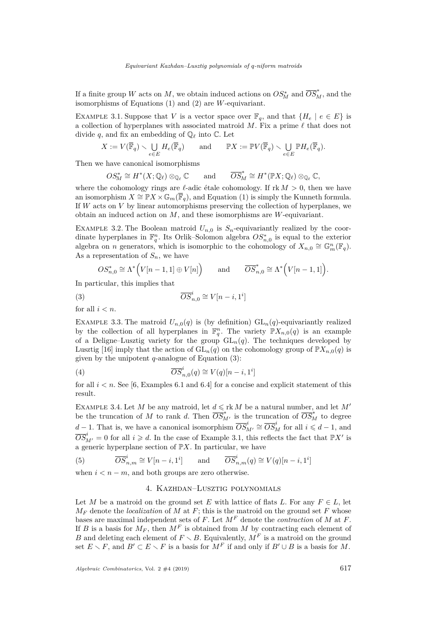If a finite group *W* acts on *M*, we obtain induced actions on  $OS_M^*$  and  $\overline{OS}_M^*$ , and the isomorphisms of Equations [\(1\)](#page-4-4) and [\(2\)](#page-4-5) are *W*-equivariant.

<span id="page-5-2"></span>EXAMPLE 3.1. Suppose that *V* is a vector space over  $\mathbb{F}_q$ , and that  $\{H_e \mid e \in E\}$  is a collection of hyperplanes with associated matroid  $M$ . Fix a prime  $\ell$  that does not divide  $q$ , and fix an embedding of  $\mathbb{Q}_\ell$  into  $\mathbb{C}$ . Let

$$
X:=V(\overline{\mathbb{F}}_q)\smallsetminus\bigcup_{e\in E}H_e(\overline{\mathbb{F}}_q)\qquad\text{and}\qquad\mathbb{P} X:=\mathbb{P} V(\overline{\mathbb{F}}_q)\smallsetminus\bigcup_{e\in E}\mathbb{P} H_e(\overline{\mathbb{F}}_q).
$$

Then we have canonical isomorphisms

$$
OS_M^* \cong H^*(X; \mathbb{Q}_\ell) \otimes_{\mathbb{Q}_\ell} \mathbb{C} \quad \text{and} \quad \overline{OS}_M^* \cong H^*(\mathbb{P}X; \mathbb{Q}_\ell) \otimes_{\mathbb{Q}_\ell} \mathbb{C},
$$

where the cohomology rings are  $\ell$ -adic étale cohomology. If  $\mathrm{rk}\,M > 0$ , then we have an isomorphism  $X \cong \mathbb{P}X \times \mathbb{G}_m(\overline{\mathbb{F}}_q)$ , and Equation [\(1\)](#page-4-4) is simply the Kunneth formula. If *W* acts on *V* by linear automorphisms preserving the collection of hyperplanes, we obtain an induced action on *M*, and these isomorphisms are *W*-equivariant.

EXAMPLE 3.2. The Boolean matroid  $U_{n,0}$  is  $S_n$ -equivariantly realized by the coordinate hyperplanes in  $\mathbb{F}_q^n$ . Its Orlik–Solomon algebra  $OS_{n,0}^*$  is equal to the exterior algebra on *n* generators, which is isomorphic to the cohomology of  $X_{n,0} \cong \mathbb{G}_m^n(\mathbb{F}_q)$ . As a representation of  $S_n$ , we have

<span id="page-5-1"></span>
$$
OS_{n,0}^* \cong \Lambda^* \Big( V[n-1,1] \oplus V[n] \Big)
$$
 and  $\overline{OS}_{n,0}^* \cong \Lambda^* \Big( V[n-1,1] \Big)$ .

In particular, this implies that

(3) 
$$
\overline{OS}_{n,0}^i \cong V[n-i,1^i]
$$

for all  $i < n$ .

EXAMPLE 3.3. The matroid  $U_{n,0}(q)$  is (by definition)  $GL_n(q)$ -equivariantly realized by the collection of all hyperplanes in  $\mathbb{F}_q^n$ . The variety  $\mathbb{P}X_{n,0}(q)$  is an example of a Deligne–Lusztig variety for the group  $GL_n(q)$ . The techniques developed by Lusztig [\[16\]](#page-7-16) imply that the action of  $GL_n(q)$  on the cohomology group of  $\mathbb{P}X_{n,0}(q)$  is given by the unipotent *q*-analogue of Equation [\(3\)](#page-5-1):

<span id="page-5-3"></span>(4) 
$$
\overline{OS}_{n,0}^i(q) \cong V(q)[n-i,1^i]
$$

for all  $i < n$ . See [\[6,](#page-7-17) Examples 6.1 and 6.4] for a concise and explicit statement of this result.

<span id="page-5-0"></span>EXAMPLE 3.4. Let *M* be any matroid, let  $d \leqslant \text{rk } M$  be a natural number, and let  $M'$ be the truncation of *M* to rank *d*. Then  $\overline{OS}_{M'}^{*}$  is the truncation of  $\overline{OS}_{M}^{*}$  to degree *d* − 1. That is, we have a canonical isomorphism  $\overline{OS}_{M'}^{i} \cong \overline{OS}_{M}^{i}$  for all  $i \le d - 1$ , and  $\overline{OS}_{M'}^i = 0$  for all  $i \geq d$ . In the case of Example [3.1,](#page-5-2) this reflects the fact that  $\mathbb{P}X'$  is a generic hyperplane section of P*X*. In particular, we have

(5) 
$$
\overline{OS}_{n,m}^i \cong V[n-i,1^i]
$$
 and  $\overline{OS}_{n,m}^i(q) \cong V(q)[n-i,1^i]$ 

when  $i < n - m$ , and both groups are zero otherwise.

#### 4. Kazhdan–Lusztig polynomials

Let *M* be a matroid on the ground set *E* with lattice of flats *L*. For any  $F \in L$ , let  $M_F$  denote the *localization* of M at F; this is the matroid on the ground set F whose bases are maximal independent sets of *F*. Let *M<sup>F</sup>* denote the *contraction* of *M* at *F*. If *B* is a basis for  $M_F$ , then  $M^F$  is obtained from M by contracting each element of *B* and deleting each element of  $F \setminus B$ . Equivalently,  $M^F$  is a matroid on the ground set  $E \setminus F$ , and  $B' \subset E \setminus F$  is a basis for  $M^F$  if and only if  $B' \cup B$  is a basis for M.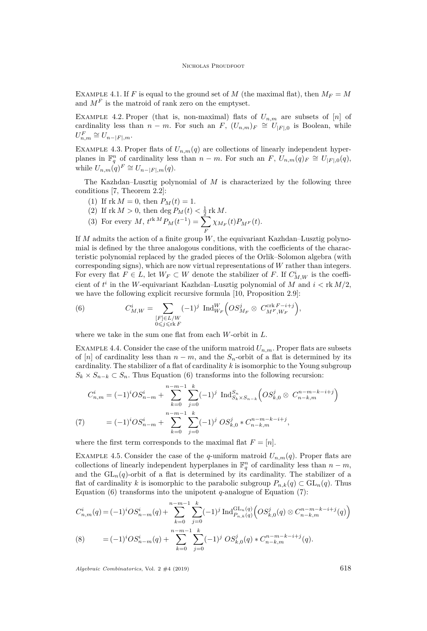EXAMPLE 4.1. If *F* is equal to the ground set of *M* (the maximal flat), then  $M_F = M$ and  $M<sup>F</sup>$  is the matroid of rank zero on the emptyset.

EXAMPLE 4.2. Proper (that is, non-maximal) flats of  $U_{n,m}$  are subsets of [*n*] of cardinality less than  $n - m$ . For such an  $F$ ,  $(U_{n,m})_F \cong U_{|F|,0}$  is Boolean, while  $U_{n,m}^F \cong U_{n-|F|,m}.$ 

EXAMPLE 4.3. Proper flats of  $U_{n,m}(q)$  are collections of linearly independent hyperplanes in  $\mathbb{F}_q^n$  of cardinality less than  $n - m$ . For such an  $F$ ,  $U_{n,m}(q)_F \cong U_{|F|,0}(q)$ , while  $U_{n,m}(q)^F \cong U_{n-|F|,m}(q)$ .

The Kazhdan–Lusztig polynomial of *M* is characterized by the following three conditions [\[7,](#page-7-0) Theorem 2.2]:

- (1) If  $rk M = 0$ , then  $P_M(t) = 1$ .
- (2) If  $\text{rk } M > 0$ , then  $\deg P_M(t) < \frac{1}{2} \text{rk } M$ .

(3) For every 
$$
M
$$
,  $t^{\text{rk }M}P_M(t^{-1}) = \sum_F \chi_{M_F}(t)P_{M^F}(t)$ .

If *M* admits the action of a finite group *W*, the equivariant Kazhdan–Lusztig polynomial is defined by the three analogous conditions, with the coefficients of the characteristic polynomial replaced by the graded pieces of the Orlik–Solomon algebra (with corresponding signs), which are now virtual representations of *W* rather than integers. For every flat  $F \in L$ , let  $W_F \subset W$  denote the stabilizer of *F*. If  $C^i_{M,W}$  is the coefficient of  $t^i$  in the *W*-equivariant Kazhdan–Lusztig polynomial of *M* and  $i <$  rk  $M/2$ , we have the following explicit recursive formula [\[10,](#page-7-1) Proposition 2.9]:

<span id="page-6-2"></span>(6) 
$$
C_{M,W}^i = \sum_{\substack{[F] \in L/W \\ 0 \le j \le \text{rk } F}} (-1)^j \operatorname{Ind}_{W_F}^W \left( O S_{M_F}^j \otimes C_{M^F, W_F}^{\operatorname{crk} F - i + j} \right),
$$

where we take in the sum one flat from each *W*-orbit in *L*.

EXAMPLE 4.4. Consider the case of the uniform matroid  $U_{n,m}$ . Proper flats are subsets of [*n*] of cardinality less than  $n - m$ , and the  $S_n$ -orbit of a flat is determined by its cardinality. The stabilizer of a flat of cardinality *k* is isomorphic to the Young subgroup  $S_k \times S_{n-k} \subset S_n$ . Thus Equation [\(6\)](#page-6-2) transforms into the following recursion:

$$
C_{n,m}^{i} = (-1)^{i}OS_{n-m}^{i} + \sum_{k=0}^{n-m-1} \sum_{j=0}^{k} (-1)^{j} \operatorname{Ind}_{S_{k} \times S_{n-k}}^{S_{n}} \left( OS_{k,0}^{j} \otimes C_{n-k,m}^{n-m-k-i+j} \right)
$$
  
(7) 
$$
= (-1)^{i}OS_{n-m}^{i} + \sum_{k=0}^{n-m-1} \sum_{j=0}^{k} (-1)^{j} OS_{k,0}^{j} * C_{n-k,m}^{n-m-k-i+j},
$$

<span id="page-6-0"></span>where the first term corresponds to the maximal flat  $F = [n]$ .

EXAMPLE 4.5. Consider the case of the *q*-uniform matroid  $U_{n,m}(q)$ . Proper flats are collections of linearly independent hyperplanes in  $\mathbb{F}_q^n$  of cardinality less than  $n - m$ , and the  $GL_n(q)$ -orbit of a flat is determined by its cardinality. The stabilizer of a flat of cardinality *k* is isomorphic to the parabolic subgroup  $P_{n,k}(q) \subset GL_n(q)$ . Thus Equation [\(6\)](#page-6-2) transforms into the unipotent *q*-analogue of Equation [\(7\)](#page-6-0):

<span id="page-6-1"></span>
$$
C_{n,m}^{i}(q) = (-1)^{i}OS_{n-m}^{i}(q) + \sum_{k=0}^{n-m-1} \sum_{j=0}^{k} (-1)^{j} \operatorname{Ind}_{P_{n,k}(q)}^{\operatorname{GL}_n(q)} \left( OS_{k,0}^{j}(q) \otimes C_{n-k,m}^{n-m-k-i+j}(q) \right)
$$
  
\n(8) 
$$
= (-1)^{i}OS_{n-m}^{i}(q) + \sum_{k=0}^{n-m-1} \sum_{j=0}^{k} (-1)^{j} OS_{k,0}^{j}(q) * C_{n-k,m}^{n-m-k-i+j}(q).
$$

*Algebraic Combinatorics*, Vol. 2 #4 (2019) 618